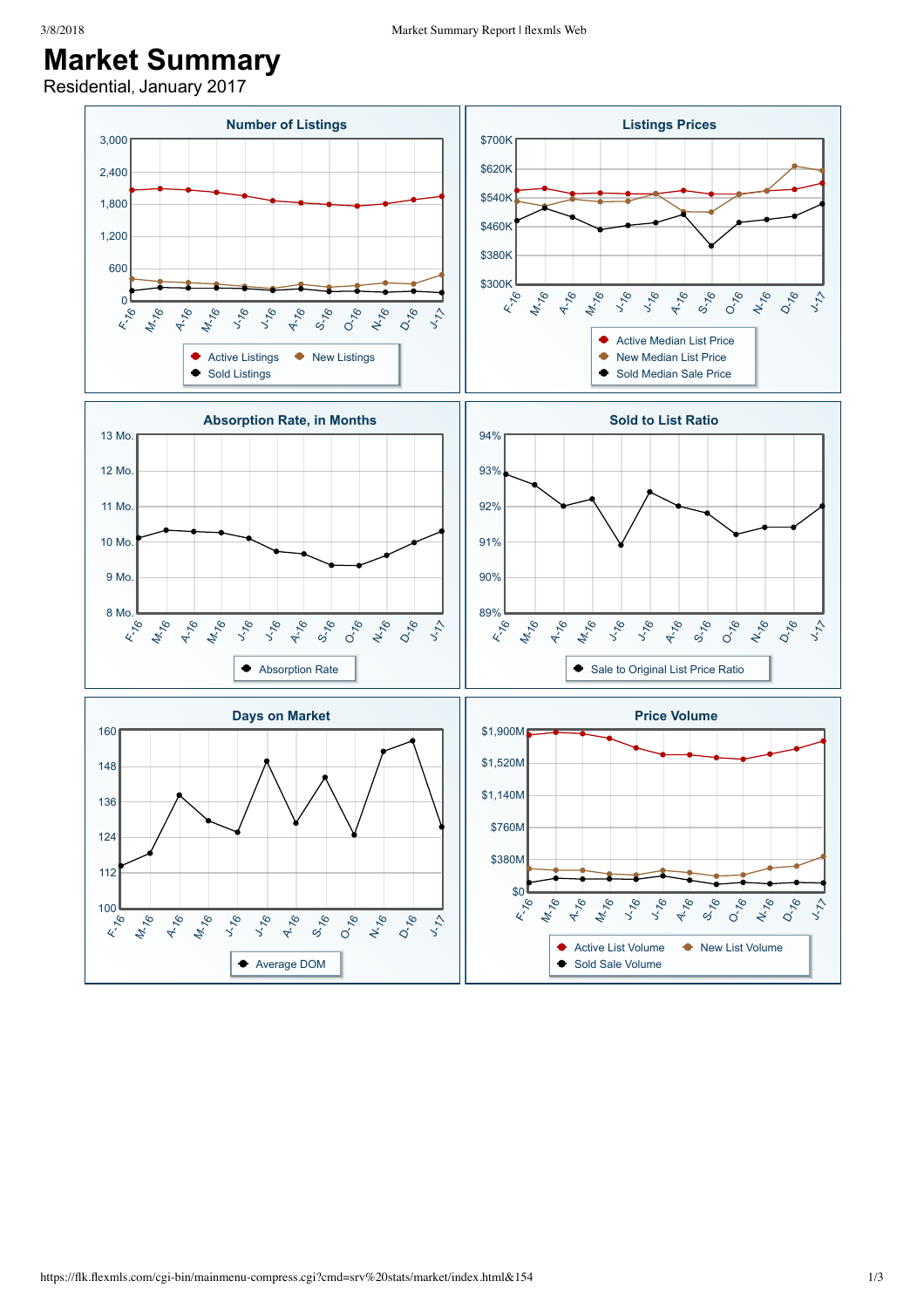## **Market Summary**

Residential, January 2017

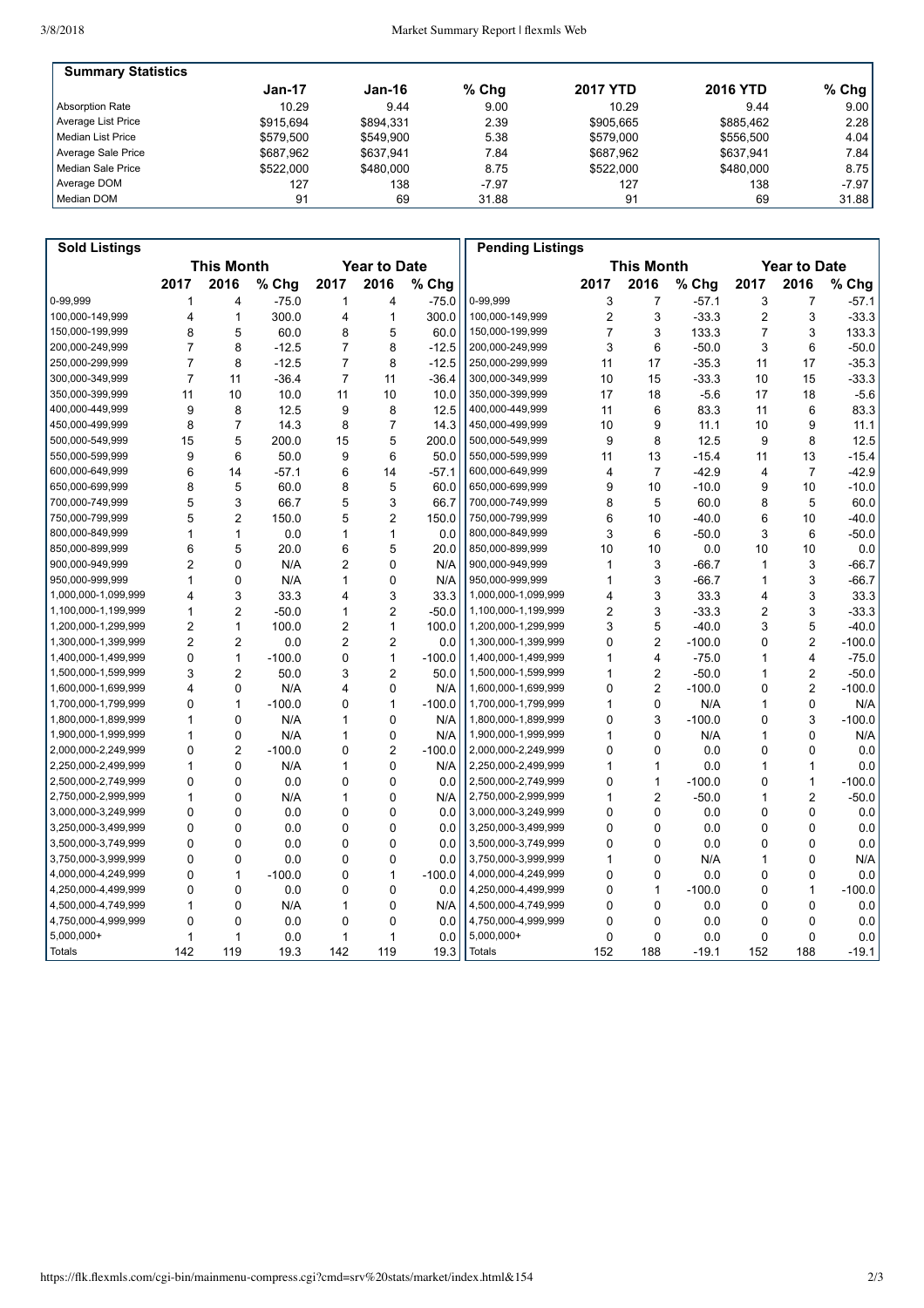| <b>Summary Statistics</b> |           |           |         |                 |                 |           |
|---------------------------|-----------|-----------|---------|-----------------|-----------------|-----------|
|                           | Jan-17    | Jan-16    | $%$ Chq | <b>2017 YTD</b> | <b>2016 YTD</b> | % Chg $ $ |
| Absorption Rate           | 10.29     | 9.44      | 9.00    | 10.29           | 9.44            | 9.00      |
| Average List Price        | \$915.694 | \$894.331 | 2.39    | \$905.665       | \$885.462       | 2.28      |
| Median List Price         | \$579.500 | \$549.900 | 5.38    | \$579.000       | \$556.500       | 4.04      |
| Average Sale Price        | \$687,962 | \$637.941 | 7.84    | \$687.962       | \$637.941       | 7.84 l    |
| Median Sale Price         | \$522,000 | \$480,000 | 8.75    | \$522,000       | \$480,000       | 8.75      |
| Average DOM               | 127       | 138       | $-7.97$ | 127             | 138             | $-7.97$   |
| Median DOM                | 91        | 69        | 31.88   | 91              | 69              | 31.88     |

| <b>Sold Listings</b> |                         |                |          |                     |                |          | <b>Pending Listings</b> |                   |                |          |                     |                |          |
|----------------------|-------------------------|----------------|----------|---------------------|----------------|----------|-------------------------|-------------------|----------------|----------|---------------------|----------------|----------|
|                      | <b>This Month</b>       |                |          | <b>Year to Date</b> |                |          |                         | <b>This Month</b> |                |          | <b>Year to Date</b> |                |          |
|                      | 2017                    | 2016           | % Chg    | 2017                | 2016           | % Chg    |                         | 2017              | 2016           | % Chg    | 2017                | 2016           | % Chg    |
| 0-99.999             | 1                       | $\overline{4}$ | $-75.0$  | 1                   | 4              | $-75.0$  | 0-99.999                | 3                 | $\overline{7}$ | $-57.1$  | 3                   | $\overline{7}$ | $-57.1$  |
| 100,000-149,999      | $\overline{4}$          | $\mathbf{1}$   | 300.0    | 4                   | $\mathbf{1}$   | 300.0    | 100,000-149,999         | $\overline{2}$    | 3              | $-33.3$  | $\overline{2}$      | 3              | $-33.3$  |
| 150,000-199,999      | 8                       | 5              | 60.0     | 8                   | 5              | 60.0     | 150,000-199,999         | $\overline{7}$    | 3              | 133.3    | $\overline{7}$      | 3              | 133.3    |
| 200,000-249,999      | $\overline{7}$          | 8              | $-12.5$  | $\overline{7}$      | 8              | $-12.5$  | 200,000-249,999         | 3                 | 6              | $-50.0$  | 3                   | 6              | $-50.0$  |
| 250,000-299,999      | $\overline{7}$          | 8              | $-12.5$  | $\overline{7}$      | 8              | $-12.5$  | 250,000-299,999         | 11                | 17             | $-35.3$  | 11                  | 17             | $-35.3$  |
| 300,000-349,999      | $\overline{7}$          | 11             | $-36.4$  | $\overline{7}$      | 11             | $-36.4$  | 300,000-349,999         | 10                | 15             | $-33.3$  | 10                  | 15             | $-33.3$  |
| 350,000-399,999      | 11                      | 10             | 10.0     | 11                  | 10             | 10.0     | 350,000-399,999         | 17                | 18             | $-5.6$   | 17                  | 18             | $-5.6$   |
| 400,000-449,999      | 9                       | 8              | 12.5     | 9                   | 8              | 12.5     | 400,000-449,999         | 11                | 6              | 83.3     | 11                  | 6              | 83.3     |
| 450,000-499,999      | 8                       | $\overline{7}$ | 14.3     | 8                   | $\overline{7}$ | 14.3     | 450,000-499,999         | 10                | 9              | 11.1     | 10                  | 9              | 11.1     |
| 500,000-549,999      | 15                      | 5              | 200.0    | 15                  | 5              | 200.0    | 500,000-549,999         | 9                 | 8              | 12.5     | 9                   | 8              | 12.5     |
| 550,000-599,999      | 9                       | 6              | 50.0     | 9                   | 6              | 50.0     | 550,000-599,999         | 11                | 13             | $-15.4$  | 11                  | 13             | $-15.4$  |
| 600,000-649,999      | 6                       | 14             | $-57.1$  | 6                   | 14             | $-57.1$  | 600,000-649,999         | 4                 | $\overline{7}$ | $-42.9$  | $\overline{4}$      | $\overline{7}$ | $-42.9$  |
| 650,000-699,999      | 8                       | 5              | 60.0     | 8                   | 5              | 60.0     | 650,000-699,999         | 9                 | 10             | $-10.0$  | 9                   | 10             | $-10.0$  |
| 700.000-749.999      | 5                       | 3              | 66.7     | 5                   | 3              | 66.7     | 700,000-749,999         | 8                 | 5              | 60.0     | 8                   | 5              | 60.0     |
| 750,000-799,999      | 5                       | $\overline{2}$ | 150.0    | 5                   | $\overline{2}$ | 150.0    | 750,000-799,999         | 6                 | 10             | $-40.0$  | 6                   | 10             | $-40.0$  |
| 800,000-849,999      | $\mathbf{1}$            | $\mathbf{1}$   | 0.0      | 1                   | $\mathbf{1}$   | 0.0      | 800,000-849,999         | 3                 | 6              | $-50.0$  | 3                   | 6              | $-50.0$  |
| 850,000-899,999      | 6                       | 5              | 20.0     | 6                   | 5              | 20.0     | 850,000-899,999         | 10                | 10             | 0.0      | 10                  | 10             | 0.0      |
| 900,000-949,999      | $\overline{2}$          | $\mathbf 0$    | N/A      | $\overline{2}$      | 0              | N/A      | 900,000-949,999         | 1                 | 3              | $-66.7$  | $\mathbf{1}$        | 3              | $-66.7$  |
| 950,000-999,999      | $\mathbf{1}$            | $\mathbf 0$    | N/A      | 1                   | $\mathbf{0}$   | N/A      | 950,000-999,999         | 1                 | 3              | $-66.7$  | $\mathbf{1}$        | 3              | $-66.7$  |
| 1,000,000-1,099,999  | $\overline{\mathbf{A}}$ | 3              | 33.3     | 4                   | 3              | 33.3     | 1,000,000-1,099,999     | 4                 | 3              | 33.3     | 4                   | 3              | 33.3     |
| 1,100,000-1,199,999  | $\mathbf{1}$            | $\overline{2}$ | $-50.0$  | 1                   | $\overline{2}$ | $-50.0$  | 1,100,000-1,199,999     | 2                 | 3              | $-33.3$  | 2                   | 3              | $-33.3$  |
| 1,200,000-1,299,999  | $\overline{2}$          | $\mathbf{1}$   | 100.0    | $\overline{2}$      | $\mathbf{1}$   | 100.0    | 1,200,000-1,299,999     | 3                 | 5              | $-40.0$  | 3                   | 5              | $-40.0$  |
| 1,300,000-1,399,999  | $\overline{2}$          | $\overline{2}$ | 0.0      | 2                   | $\overline{2}$ | 0.0      | 1,300,000-1,399,999     | 0                 | $\overline{2}$ | $-100.0$ | 0                   | $\overline{2}$ | $-100.0$ |
| 1,400,000-1,499,999  | $\mathbf 0$             | $\mathbf{1}$   | $-100.0$ | 0                   | $\mathbf{1}$   | $-100.0$ | 1,400,000-1,499,999     | 1                 | 4              | $-75.0$  | 1                   | $\overline{4}$ | $-75.0$  |
| 1,500,000-1,599,999  | 3                       | $\overline{c}$ | 50.0     | 3                   | $\overline{c}$ | 50.0     | 1,500,000-1,599,999     | $\mathbf{1}$      | $\overline{c}$ | $-50.0$  | 1                   | $\overline{2}$ | $-50.0$  |
| 1,600,000-1,699,999  | $\overline{4}$          | $\mathbf 0$    | N/A      | 4                   | $\Omega$       | N/A      | 1,600,000-1,699,999     | 0                 | $\overline{2}$ | $-100.0$ | 0                   | $\overline{2}$ | $-100.0$ |
| 1,700,000-1,799,999  | $\mathbf 0$             | $\mathbf{1}$   | $-100.0$ | 0                   | $\mathbf{1}$   | $-100.0$ | 1,700,000-1,799,999     | 1                 | $\mathbf 0$    | N/A      | 1                   | $\mathbf 0$    | N/A      |
| 1,800,000-1,899,999  | $\mathbf{1}$            | $\mathbf 0$    | N/A      | 1                   | $\mathbf 0$    | N/A      | 1,800,000-1,899,999     | 0                 | 3              | $-100.0$ | 0                   | 3              | $-100.0$ |
| 1,900,000-1,999,999  | 1                       | $\mathbf 0$    | N/A      | 1                   | $\Omega$       | N/A      | 1,900,000-1,999,999     | 1                 | 0              | N/A      | 1                   | $\Omega$       | N/A      |
| 2,000,000-2,249,999  | $\mathbf 0$             | $\overline{2}$ | $-100.0$ | 0                   | $\overline{2}$ | $-100.0$ | 2,000,000-2,249,999     | 0                 | 0              | 0.0      | 0                   | $\mathbf 0$    | 0.0      |
| 2,250,000-2,499,999  | $\mathbf{1}$            | $\Omega$       | N/A      | 1                   | $\Omega$       | N/A      | 2,250,000-2,499,999     | 1                 | 1              | 0.0      | 1                   | $\mathbf{1}$   | 0.0      |
| 2,500,000-2,749,999  | $\Omega$                | $\Omega$       | 0.0      | 0                   | $\Omega$       | 0.0      | 2,500,000-2,749,999     | 0                 | 1              | $-100.0$ | 0                   | $\mathbf{1}$   | $-100.0$ |
| 2,750,000-2,999,999  | $\mathbf 1$             | $\mathbf 0$    | N/A      | 1                   | 0              | N/A      | 2,750,000-2,999,999     | 1                 | $\overline{c}$ | $-50.0$  | 1                   | $\overline{2}$ | $-50.0$  |
| 3,000,000-3,249,999  | $\mathbf{0}$            | $\Omega$       | 0.0      | 0                   | $\Omega$       | 0.0      | 3,000,000-3,249,999     | $\Omega$          | $\Omega$       | 0.0      | 0                   | $\Omega$       | 0.0      |
| 3,250,000-3,499,999  | $\Omega$                | $\mathbf 0$    | 0.0      | 0                   | $\Omega$       | 0.0      | 3,250,000-3,499,999     | 0                 | 0              | 0.0      | $\mathbf 0$         | $\Omega$       | 0.0      |
| 3,500,000-3,749,999  | $\mathbf 0$             | $\mathbf 0$    | 0.0      | 0                   | 0              | 0.0      | 3,500,000-3,749,999     | 0                 | 0              | 0.0      | 0                   | $\mathbf 0$    | 0.0      |
| 3,750,000-3,999,999  | $\Omega$                | $\Omega$       | 0.0      | 0                   | $\Omega$       | 0.0      | 3,750,000-3,999,999     | 1                 | 0              | N/A      | 1                   | $\Omega$       | N/A      |
| 4,000,000-4,249,999  | $\Omega$                | 1              | $-100.0$ | 0                   | $\mathbf{1}$   | $-100.0$ | 4,000,000-4,249,999     | 0                 | 0              | 0.0      | 0                   | $\mathbf 0$    | 0.0      |
| 4,250,000-4,499,999  | $\mathbf 0$             | $\mathbf 0$    | 0.0      | 0                   | 0              | 0.0      | 4,250,000-4,499,999     | 0                 | 1              | $-100.0$ | 0                   | $\mathbf{1}$   | $-100.0$ |
| 4,500,000-4,749,999  | $\mathbf{1}$            | $\mathbf 0$    | N/A      | 1                   | $\mathbf 0$    | N/A      | 4,500,000-4,749,999     | $\Omega$          | $\Omega$       | 0.0      | $\mathbf 0$         | $\mathbf 0$    | 0.0      |
| 4,750,000-4,999,999  | $\Omega$                | $\Omega$       | 0.0      | 0                   | 0              | 0.0      | 4,750,000-4,999,999     | 0                 | $\Omega$       | 0.0      | $\mathbf 0$         | $\Omega$       | 0.0      |
| 5,000,000+           | $\mathbf{1}$            | $\mathbf{1}$   | 0.0      | 1                   | $\mathbf{1}$   | 0.0      | 5,000,000+              | 0                 | 0              | 0.0      | $\mathbf 0$         | $\mathbf 0$    | 0.0      |
| <b>Totals</b>        | 142                     | 119            | 19.3     | 142                 | 119            | 19.3     | <b>Totals</b>           | 152               | 188            | $-19.1$  | 152                 | 188            | $-19.1$  |